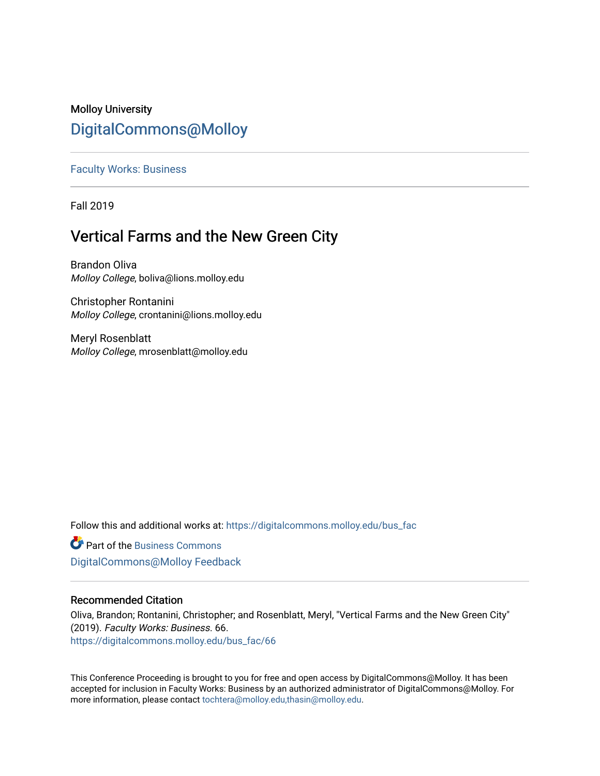# Molloy University [DigitalCommons@Molloy](https://digitalcommons.molloy.edu/)

# [Faculty Works: Business](https://digitalcommons.molloy.edu/bus_fac)

Fall 2019

# Vertical Farms and the New Green City

Brandon Oliva Molloy College, boliva@lions.molloy.edu

Christopher Rontanini Molloy College, crontanini@lions.molloy.edu

Meryl Rosenblatt Molloy College, mrosenblatt@molloy.edu

Follow this and additional works at: [https://digitalcommons.molloy.edu/bus\\_fac](https://digitalcommons.molloy.edu/bus_fac?utm_source=digitalcommons.molloy.edu%2Fbus_fac%2F66&utm_medium=PDF&utm_campaign=PDFCoverPages)

**C** Part of the [Business Commons](https://network.bepress.com/hgg/discipline/622?utm_source=digitalcommons.molloy.edu%2Fbus_fac%2F66&utm_medium=PDF&utm_campaign=PDFCoverPages) [DigitalCommons@Molloy Feedback](https://molloy.libwizard.com/f/dcfeedback)

# Recommended Citation

Oliva, Brandon; Rontanini, Christopher; and Rosenblatt, Meryl, "Vertical Farms and the New Green City" (2019). Faculty Works: Business. 66. [https://digitalcommons.molloy.edu/bus\\_fac/66](https://digitalcommons.molloy.edu/bus_fac/66?utm_source=digitalcommons.molloy.edu%2Fbus_fac%2F66&utm_medium=PDF&utm_campaign=PDFCoverPages) 

This Conference Proceeding is brought to you for free and open access by DigitalCommons@Molloy. It has been accepted for inclusion in Faculty Works: Business by an authorized administrator of DigitalCommons@Molloy. For more information, please contact [tochtera@molloy.edu,thasin@molloy.edu.](mailto:tochtera@molloy.edu,thasin@molloy.edu)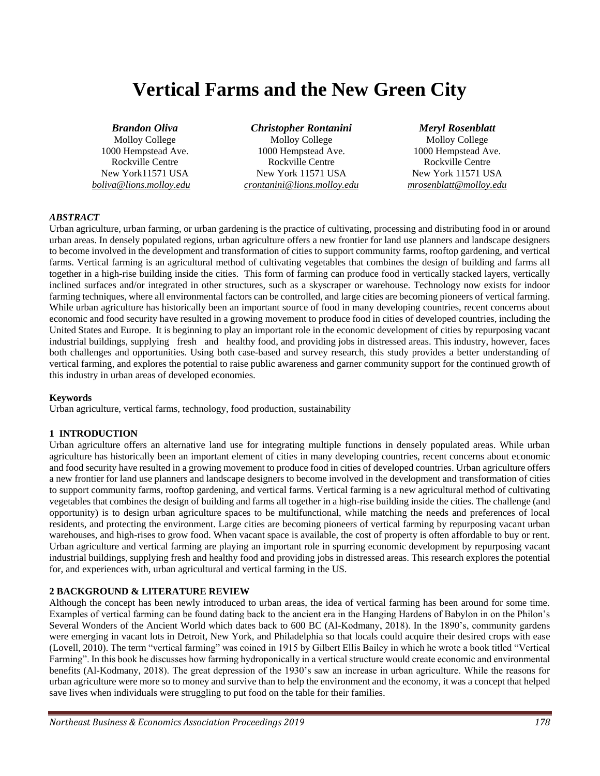# **Vertical Farms and the New Green City**

#### *Brandon Oliva*

Molloy College 1000 Hempstead Ave. Rockville Centre New York11571 USA *boliva@lions.molloy.edu*

*Christopher Rontanini* Molloy College 1000 Hempstead Ave. Rockville Centre New York 11571 USA *crontanini@lions.molloy.edu*

#### *Meryl Rosenblatt*

Molloy College 1000 Hempstead Ave. Rockville Centre New York 11571 USA *mrosenblatt@molloy.edu*

## *ABSTRACT*

Urban agriculture, urban farming, or urban gardening is the practice of cultivating, processing and distributing food in or around urban areas. In densely populated regions, urban agriculture offers a new frontier for land use planners and landscape designers to become involved in the development and transformation of cities to support community farms, rooftop gardening, and vertical farms. Vertical farming is an agricultural method of cultivating vegetables that combines the design of building and farms all together in a high-rise building inside the cities. This form of farming can produce food in vertically stacked layers, vertically inclined surfaces and/or integrated in other structures, such as a skyscraper or warehouse. Technology now exists for indoor farming techniques, where all environmental factors can be controlled, and large cities are becoming pioneers of vertical farming. While urban agriculture has historically been an important source of food in many developing countries, recent concerns about economic and food security have resulted in a growing movement to produce food in cities of developed countries, including the United States and Europe. It is beginning to play an important role in the economic development of cities by repurposing vacant industrial buildings, supplying fresh and healthy food, and providing jobs in distressed areas. This industry, however, faces both challenges and opportunities. Using both case-based and survey research, this study provides a better understanding of vertical farming, and explores the potential to raise public awareness and garner community support for the continued growth of this industry in urban areas of developed economies.

## **Keywords**

Urban agriculture, vertical farms, technology, food production, sustainability

## **1 INTRODUCTION**

Urban agriculture offers an alternative land use for integrating multiple functions in densely populated areas. While urban agriculture has historically been an important element of cities in many developing countries, recent concerns about economic and food security have resulted in a growing movement to produce food in cities of developed countries. Urban agriculture offers a new frontier for land use planners and landscape designers to become involved in the development and transformation of cities to support community farms, rooftop gardening, and vertical farms. Vertical farming is a new agricultural method of cultivating vegetables that combines the design of building and farms all together in a high-rise building inside the cities. The challenge (and opportunity) is to design urban agriculture spaces to be multifunctional, while matching the needs and preferences of local residents, and protecting the environment. Large cities are becoming pioneers of vertical farming by repurposing vacant urban warehouses, and high-rises to grow food. When vacant space is available, the cost of property is often affordable to buy or rent. Urban agriculture and vertical farming are playing an important role in spurring economic development by repurposing vacant industrial buildings, supplying fresh and healthy food and providing jobs in distressed areas. This research explores the potential for, and experiences with, urban agricultural and vertical farming in the US.

## **2 BACKGROUND & LITERATURE REVIEW**

Although the concept has been newly introduced to urban areas, the idea of vertical farming has been around for some time. Examples of vertical farming can be found dating back to the ancient era in the Hanging Hardens of Babylon in on the Philon's Several Wonders of the Ancient World which dates back to 600 BC (Al-Kodmany, 2018). In the 1890's, community gardens were emerging in vacant lots in Detroit, New York, and Philadelphia so that locals could acquire their desired crops with ease (Lovell, 2010). The term "vertical farming" was coined in 1915 by Gilbert Ellis Bailey in which he wrote a book titled "Vertical Farming". In this book he discusses how farming hydroponically in a vertical structure would create economic and environmental benefits (Al-Kodmany, 2018). The great depression of the 1930's saw an increase in urban agriculture. While the reasons for urban agriculture were more so to money and survive than to help the environment and the economy, it was a concept that helped save lives when individuals were struggling to put food on the table for their families.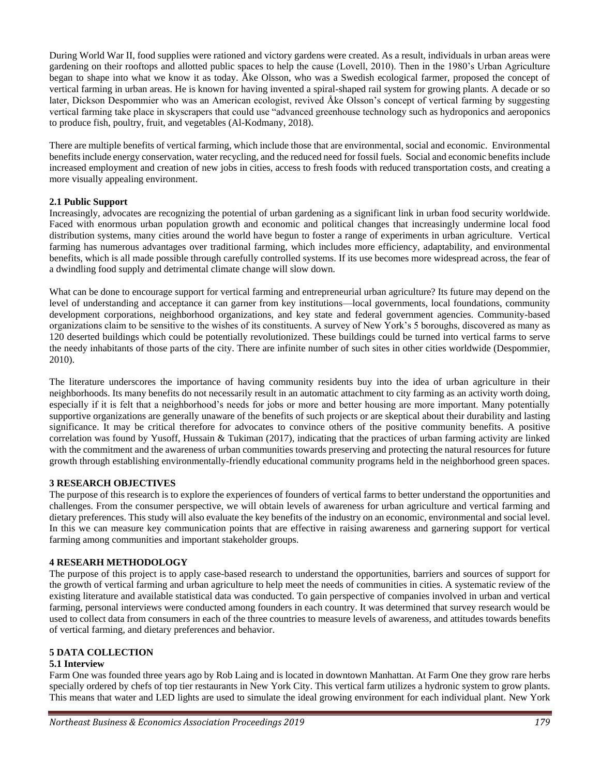During World War II, food supplies were rationed and victory gardens were created. As a result, individuals in urban areas were gardening on their rooftops and allotted public spaces to help the cause (Lovell, 2010). Then in the 1980's Urban Agriculture began to shape into what we know it as today. Åke Olsson, who was a Swedish ecological farmer, proposed the concept of vertical farming in urban areas. He is known for having invented a spiral-shaped rail system for growing plants. A decade or so later, Dickson Despommier who was an American ecologist, revived Åke Olsson's concept of vertical farming by suggesting vertical farming take place in skyscrapers that could use "advanced greenhouse technology such as hydroponics and aeroponics to produce fish, poultry, fruit, and vegetables (Al-Kodmany, 2018).

There are multiple benefits of vertical farming, which include those that are environmental, social and economic. Environmental benefits include energy conservation, water recycling, and the reduced need for fossil fuels. Social and economic benefits include increased employment and creation of new jobs in cities, access to fresh foods with reduced transportation costs, and creating a more visually appealing environment.

# **2.1 Public Support**

Increasingly, advocates are recognizing the potential of urban gardening as a significant link in urban food security worldwide. Faced with enormous urban population growth and economic and political changes that increasingly undermine local food distribution systems, many cities around the world have begun to foster a range of experiments in urban agriculture. Vertical farming has numerous advantages over traditional farming, which includes more efficiency, adaptability, and environmental benefits, which is all made possible through carefully controlled systems. If its use becomes more widespread across, the fear of a dwindling food supply and detrimental climate change will slow down.

What can be done to encourage support for vertical farming and entrepreneurial urban agriculture? Its future may depend on the level of understanding and acceptance it can garner from key institutions—local governments, local foundations, community development corporations, neighborhood organizations, and key state and federal government agencies. Community-based organizations claim to be sensitive to the wishes of its constituents. A survey of New York's 5 boroughs, discovered as many as 120 deserted buildings which could be potentially revolutionized. These buildings could be turned into vertical farms to serve the needy inhabitants of those parts of the city. There are infinite number of such sites in other cities worldwide (Despommier, 2010).

The literature underscores the importance of having community residents buy into the idea of urban agriculture in their neighborhoods. Its many benefits do not necessarily result in an automatic attachment to city farming as an activity worth doing, especially if it is felt that a neighborhood's needs for jobs or more and better housing are more important. Many potentially supportive organizations are generally unaware of the benefits of such projects or are skeptical about their durability and lasting significance. It may be critical therefore for advocates to convince others of the positive community benefits. A positive correlation was found by Yusoff, Hussain & Tukiman (2017), indicating that the practices of urban farming activity are linked with the commitment and the awareness of urban communities towards preserving and protecting the natural resources for future growth through establishing environmentally-friendly educational community programs held in the neighborhood green spaces.

## **3 RESEARCH OBJECTIVES**

The purpose of this research is to explore the experiences of founders of vertical farms to better understand the opportunities and challenges. From the consumer perspective, we will obtain levels of awareness for urban agriculture and vertical farming and dietary preferences. This study will also evaluate the key benefits of the industry on an economic, environmental and social level. In this we can measure key communication points that are effective in raising awareness and garnering support for vertical farming among communities and important stakeholder groups.

## **4 RESEARH METHODOLOGY**

The purpose of this project is to apply case-based research to understand the opportunities, barriers and sources of support for the growth of vertical farming and urban agriculture to help meet the needs of communities in cities. A systematic review of the existing literature and available statistical data was conducted. To gain perspective of companies involved in urban and vertical farming, personal interviews were conducted among founders in each country. It was determined that survey research would be used to collect data from consumers in each of the three countries to measure levels of awareness, and attitudes towards benefits of vertical farming, and dietary preferences and behavior.

# **5 DATA COLLECTION**

# **5.1 Interview**

Farm One was founded three years ago by Rob Laing and is located in downtown Manhattan. At Farm One they grow rare herbs specially ordered by chefs of top tier restaurants in New York City. This vertical farm utilizes a hydronic system to grow plants. This means that water and LED lights are used to simulate the ideal growing environment for each individual plant. New York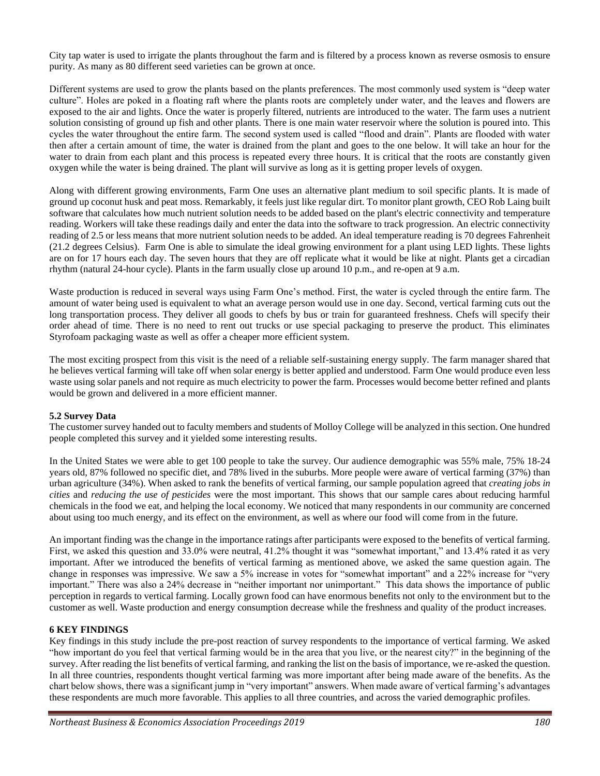City tap water is used to irrigate the plants throughout the farm and is filtered by a process known as reverse osmosis to ensure purity. As many as 80 different seed varieties can be grown at once.

Different systems are used to grow the plants based on the plants preferences. The most commonly used system is "deep water culture". Holes are poked in a floating raft where the plants roots are completely under water, and the leaves and flowers are exposed to the air and lights. Once the water is properly filtered, nutrients are introduced to the water. The farm uses a nutrient solution consisting of ground up fish and other plants. There is one main water reservoir where the solution is poured into. This cycles the water throughout the entire farm. The second system used is called "flood and drain". Plants are flooded with water then after a certain amount of time, the water is drained from the plant and goes to the one below. It will take an hour for the water to drain from each plant and this process is repeated every three hours. It is critical that the roots are constantly given oxygen while the water is being drained. The plant will survive as long as it is getting proper levels of oxygen.

Along with different growing environments, Farm One uses an alternative plant medium to soil specific plants. It is made of ground up coconut husk and peat moss. Remarkably, it feels just like regular dirt. To monitor plant growth, CEO Rob Laing built software that calculates how much nutrient solution needs to be added based on the plant's electric connectivity and temperature reading. Workers will take these readings daily and enter the data into the software to track progression. An electric connectivity reading of 2.5 or less means that more nutrient solution needs to be added. An ideal temperature reading is 70 degrees Fahrenheit (21.2 degrees Celsius). Farm One is able to simulate the ideal growing environment for a plant using LED lights. These lights are on for 17 hours each day. The seven hours that they are off replicate what it would be like at night. Plants get a circadian rhythm (natural 24-hour cycle). Plants in the farm usually close up around 10 p.m., and re-open at 9 a.m.

Waste production is reduced in several ways using Farm One's method. First, the water is cycled through the entire farm. The amount of water being used is equivalent to what an average person would use in one day. Second, vertical farming cuts out the long transportation process. They deliver all goods to chefs by bus or train for guaranteed freshness. Chefs will specify their order ahead of time. There is no need to rent out trucks or use special packaging to preserve the product. This eliminates Styrofoam packaging waste as well as offer a cheaper more efficient system.

The most exciting prospect from this visit is the need of a reliable self-sustaining energy supply. The farm manager shared that he believes vertical farming will take off when solar energy is better applied and understood. Farm One would produce even less waste using solar panels and not require as much electricity to power the farm. Processes would become better refined and plants would be grown and delivered in a more efficient manner.

## **5.2 Survey Data**

The customer survey handed out to faculty members and students of Molloy College will be analyzed in this section. One hundred people completed this survey and it yielded some interesting results.

In the United States we were able to get 100 people to take the survey. Our audience demographic was 55% male, 75% 18-24 years old, 87% followed no specific diet, and 78% lived in the suburbs. More people were aware of vertical farming (37%) than urban agriculture (34%). When asked to rank the benefits of vertical farming, our sample population agreed that *creating jobs in cities* and *reducing the use of pesticides* were the most important. This shows that our sample cares about reducing harmful chemicals in the food we eat, and helping the local economy. We noticed that many respondents in our community are concerned about using too much energy, and its effect on the environment, as well as where our food will come from in the future.

An important finding was the change in the importance ratings after participants were exposed to the benefits of vertical farming. First, we asked this question and 33.0% were neutral, 41.2% thought it was "somewhat important," and 13.4% rated it as very important. After we introduced the benefits of vertical farming as mentioned above, we asked the same question again. The change in responses was impressive. We saw a 5% increase in votes for "somewhat important" and a 22% increase for "very important." There was also a 24% decrease in "neither important nor unimportant." This data shows the importance of public perception in regards to vertical farming. Locally grown food can have enormous benefits not only to the environment but to the customer as well. Waste production and energy consumption decrease while the freshness and quality of the product increases.

# **6 KEY FINDINGS**

Key findings in this study include the pre-post reaction of survey respondents to the importance of vertical farming. We asked "how important do you feel that vertical farming would be in the area that you live, or the nearest city?" in the beginning of the survey. After reading the list benefits of vertical farming, and ranking the list on the basis of importance, we re-asked the question. In all three countries, respondents thought vertical farming was more important after being made aware of the benefits. As the chart below shows, there was a significant jump in "very important" answers. When made aware of vertical farming's advantages these respondents are much more favorable. This applies to all three countries, and across the varied demographic profiles.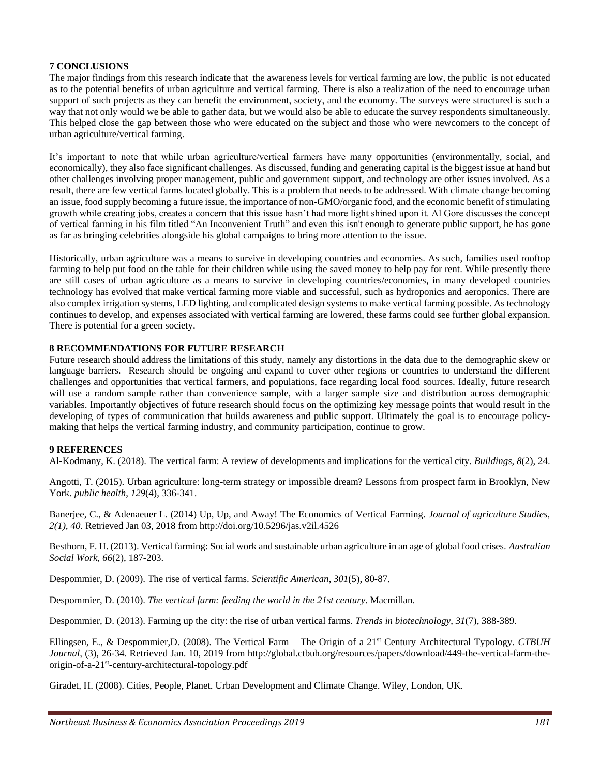# **7 CONCLUSIONS**

The major findings from this research indicate that the awareness levels for vertical farming are low, the public is not educated as to the potential benefits of urban agriculture and vertical farming. There is also a realization of the need to encourage urban support of such projects as they can benefit the environment, society, and the economy. The surveys were structured is such a way that not only would we be able to gather data, but we would also be able to educate the survey respondents simultaneously. This helped close the gap between those who were educated on the subject and those who were newcomers to the concept of urban agriculture/vertical farming.

It's important to note that while urban agriculture/vertical farmers have many opportunities (environmentally, social, and economically), they also face significant challenges. As discussed, funding and generating capital is the biggest issue at hand but other challenges involving proper management, public and government support, and technology are other issues involved. As a result, there are few vertical farms located globally. This is a problem that needs to be addressed. With climate change becoming an issue, food supply becoming a future issue, the importance of non-GMO/organic food, and the economic benefit of stimulating growth while creating jobs, creates a concern that this issue hasn't had more light shined upon it. Al Gore discusses the concept of vertical farming in his film titled "An Inconvenient Truth" and even this isn't enough to generate public support, he has gone as far as bringing celebrities alongside his global campaigns to bring more attention to the issue.

Historically, urban agriculture was a means to survive in developing countries and economies. As such, families used rooftop farming to help put food on the table for their children while using the saved money to help pay for rent. While presently there are still cases of urban agriculture as a means to survive in developing countries/economies, in many developed countries technology has evolved that make vertical farming more viable and successful, such as hydroponics and aeroponics. There are also complex irrigation systems, LED lighting, and complicated design systems to make vertical farming possible. As technology continues to develop, and expenses associated with vertical farming are lowered, these farms could see further global expansion. There is potential for a green society.

# **8 RECOMMENDATIONS FOR FUTURE RESEARCH**

Future research should address the limitations of this study, namely any distortions in the data due to the demographic skew or language barriers. Research should be ongoing and expand to cover other regions or countries to understand the different challenges and opportunities that vertical farmers, and populations, face regarding local food sources. Ideally, future research will use a random sample rather than convenience sample, with a larger sample size and distribution across demographic variables. Importantly objectives of future research should focus on the optimizing key message points that would result in the developing of types of communication that builds awareness and public support. Ultimately the goal is to encourage policymaking that helps the vertical farming industry, and community participation, continue to grow.

## **9 REFERENCES**

Al-Kodmany, K. (2018). The vertical farm: A review of developments and implications for the vertical city. *Buildings*, *8*(2), 24.

Angotti, T. (2015). Urban agriculture: long-term strategy or impossible dream? Lessons from prospect farm in Brooklyn, New York. *public health*, *129*(4), 336-341.

Banerjee, C., & Adenaeuer L. (2014) Up, Up, and Away! The Economics of Vertical Farming. *Journal of agriculture Studies, 2(1), 40.* Retrieved Jan 03, 2018 from http://doi.org/10.5296/jas.v2il.4526

Besthorn, F. H. (2013). Vertical farming: Social work and sustainable urban agriculture in an age of global food crises. *Australian Social Work*, *66*(2), 187-203.

Despommier, D. (2009). The rise of vertical farms. *Scientific American*, *301*(5), 80-87.

Despommier, D. (2010). *The vertical farm: feeding the world in the 21st century*. Macmillan.

Despommier, D. (2013). Farming up the city: the rise of urban vertical farms. *Trends in biotechnology*, *31*(7), 388-389.

Ellingsen, E., & Despommier,D. (2008). The Vertical Farm – The Origin of a 21st Century Architectural Typology. *CTBUH Journal,* (3), 26-34. Retrieved Jan. 10, 2019 from http://global.ctbuh.org/resources/papers/download/449-the-vertical-farm-theorigin-of-a-21st -century-architectural-topology.pdf

Giradet, H. (2008). Cities, People, Planet. Urban Development and Climate Change. Wiley, London, UK.